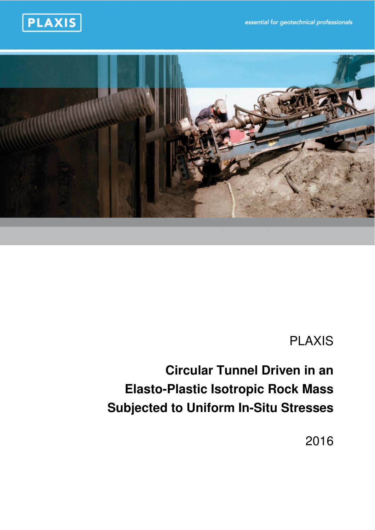essential for geotechnical professionals





# PLAXIS

# **Circular Tunnel Driven in an Elasto-Plastic Isotropic Rock Mass Subjected to Uniform In-Situ Stresses**

2016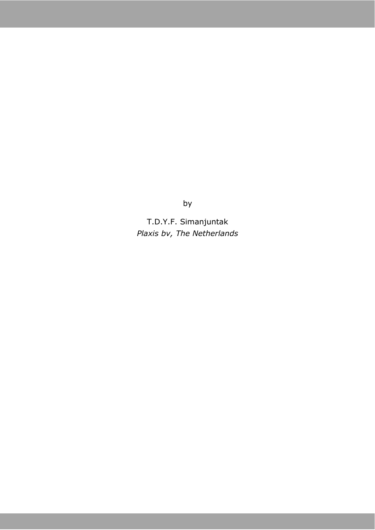by

T.D.Y.F. Simanjuntak *Plaxis bv, The Netherlands*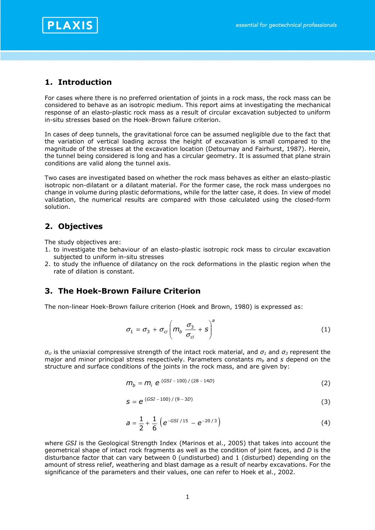

#### **1. Introduction**

For cases where there is no preferred orientation of joints in a rock mass, the rock mass can be considered to behave as an isotropic medium. This report aims at investigating the mechanical response of an elasto-plastic rock mass as a result of circular excavation subjected to uniform in-situ stresses based on the Hoek-Brown failure criterion.

In cases of deep tunnels, the gravitational force can be assumed negligible due to the fact that the variation of vertical loading across the height of excavation is small compared to the magnitude of the stresses at the excavation location (Detournay and Fairhurst, 1987). Herein, the tunnel being considered is long and has a circular geometry. It is assumed that plane strain conditions are valid along the tunnel axis.

Two cases are investigated based on whether the rock mass behaves as either an elasto-plastic isotropic non-dilatant or a dilatant material. For the former case, the rock mass undergoes no change in volume during plastic deformations, while for the latter case, it does. In view of model validation, the numerical results are compared with those calculated using the closed-form solution.

#### **2. Objectives**

The study objectives are:

- 1. to investigate the behaviour of an elasto-plastic isotropic rock mass to circular excavation subjected to uniform in-situ stresses
- 2. to study the influence of dilatancy on the rock deformations in the plastic region when the rate of dilation is constant.

#### **3. The Hoek-Brown Failure Criterion**

The non-linear Hoek-Brown failure criterion (Hoek and Brown, 1980) is expressed as:

$$
\sigma_1 = \sigma_3 + \sigma_{ci} \left( m_b \frac{\sigma_3}{\sigma_{ci}} + s \right)^a \tag{1}
$$

 $\sigma_{ci}$  is the uniaxial compressive strength of the intact rock material, and  $\sigma_1$  and  $\sigma_3$  represent the major and minor principal stress respectively. Parameters constants *mb* and *s* depend on the structure and surface conditions of the joints in the rock mass, and are given by:

$$
m_b = m_i e^{(GSI - 100) / (28 - 14D)}
$$
 (2)

$$
S = e^{(GSI - 100) / (9 - 3D)}
$$
 (3)

$$
a = \frac{1}{2} + \frac{1}{6} \left( e^{-GSI/15} - e^{-20/3} \right)
$$
 (4)

where *GSI* is the Geological Strength Index (Marinos et al., 2005) that takes into account the geometrical shape of intact rock fragments as well as the condition of joint faces, and *D* is the disturbance factor that can vary between 0 (undisturbed) and 1 (disturbed) depending on the amount of stress relief, weathering and blast damage as a result of nearby excavations. For the significance of the parameters and their values, one can refer to Hoek et al., 2002.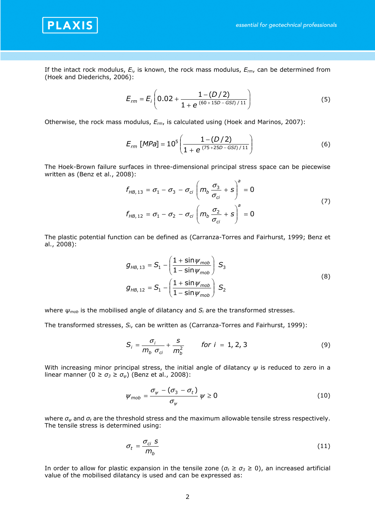

If the intact rock modulus, *Ei*, is known, the rock mass modulus, *Erm*, can be determined from (Hoek and Diederichs, 2006):

$$
E_{rm} = E_i \left( 0.02 + \frac{1 - (D/2)}{1 + e^{(60 + 15D - GSI)/11}} \right)
$$
 (5)

Otherwise, the rock mass modulus, *Erm*, is calculated using (Hoek and Marinos, 2007):

$$
E_{rm} [MPa] = 10^5 \left( \frac{1 - (D/2)}{1 + e^{(75 + 25D - GSI)/11}} \right)
$$
 (6)

The Hoek-Brown failure surfaces in three-dimensional principal stress space can be piecewise written as (Benz et al., 2008):

$$
f_{HB, 13} = \sigma_1 - \sigma_3 - \sigma_{ci} \left( m_b \frac{\sigma_3}{\sigma_{ci}} + s \right)^a = 0
$$
  

$$
f_{HB, 12} = \sigma_1 - \sigma_2 - \sigma_{ci} \left( m_b \frac{\sigma_2}{\sigma_{ci}} + s \right)^a = 0
$$
 (7)

The plastic potential function can be defined as (Carranza-Torres and Fairhurst, 1999; Benz et al., 2008):

$$
g_{HB, 13} = S_1 - \left(\frac{1 + \sin\psi_{mob}}{1 - \sin\psi_{mob}}\right) S_3
$$
  
\n
$$
g_{HB, 12} = S_1 - \left(\frac{1 + \sin\psi_{mob}}{1 - \sin\psi_{mob}}\right) S_2
$$
\n(8)

where *ψmob* is the mobilised angle of dilatancy and *Si* are the transformed stresses.

The transformed stresses, *Si*, can be written as (Carranza-Torres and Fairhurst, 1999):

$$
S_i = \frac{\sigma_i}{m_b \sigma_{ci}} + \frac{s}{m_b^2} \qquad \text{for } i = 1, 2, 3 \tag{9}
$$

With increasing minor principal stress, the initial angle of dilatancy *ψ* is reduced to zero in a linear manner  $(0 \ge \sigma_3 \ge \sigma_\psi)$  (Benz et al., 2008):

$$
\psi_{mob} = \frac{\sigma_{\psi} - (\sigma_{3} - \sigma_{t})}{\sigma_{\psi}} \psi \ge 0
$$
\n(10)

where *σψ* and *σt* are the threshold stress and the maximum allowable tensile stress respectively. The tensile stress is determined using:

$$
\sigma_t = \frac{\sigma_{ci} S}{m_b} \tag{11}
$$

In order to allow for plastic expansion in the tensile zone ( $\sigma_t \geq \sigma_3 \geq 0$ ), an increased artificial value of the mobilised dilatancy is used and can be expressed as: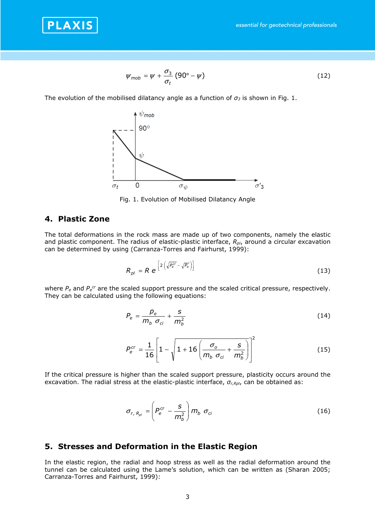

$$
\psi_{mob} = \psi + \frac{\sigma_3}{\sigma_t} (90^\circ - \psi) \tag{12}
$$

The evolution of the mobilised dilatancy angle as a function of  $\sigma_3$  is shown in Fig. 1.



Fig. 1. Evolution of Mobilised Dilatancy Angle

### **4. Plastic Zone**

The total deformations in the rock mass are made up of two components, namely the elastic and plastic component. The radius of elastic-plastic interface, *Rpl*, around a circular excavation can be determined by using (Carranza-Torres and Fairhurst, 1999):

$$
R_{\rho l} = R e^{\left[2\left(\sqrt{P_e^{cr}} - \sqrt{P_e}\right)\right]}
$$
 (13)

where  $P_e$  and  $P_e^{cr}$  are the scaled support pressure and the scaled critical pressure, respectively. They can be calculated using the following equations:

$$
P_e = \frac{p_e}{m_b \sigma_{ci}} + \frac{s}{m_b^2} \tag{14}
$$

$$
P_e^{cr} = \frac{1}{16} \left[ 1 - \sqrt{1 + 16 \left( \frac{\sigma_o}{m_b \sigma_{ci}} + \frac{s}{m_b^2} \right)} \right]^2
$$
 (15)

If the critical pressure is higher than the scaled support pressure, plasticity occurs around the excavation. The radial stress at the elastic-plastic interface,  $\sigma$ <sub>r,Rpl</sub>, can be obtained as:

$$
\sigma_{r, R_{pl}} = \left( P_e^{cr} - \frac{S}{m_b^2} \right) m_b \sigma_{ci}
$$
 (16)

#### **5. Stresses and Deformation in the Elastic Region**

In the elastic region, the radial and hoop stress as well as the radial deformation around the tunnel can be calculated using the Lame's solution, which can be written as (Sharan 2005; Carranza-Torres and Fairhurst, 1999):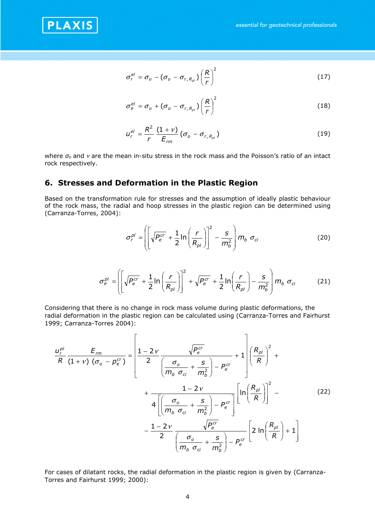

$$
\sigma_r^{el} = \sigma_o - (\sigma_o - \sigma_{r,R_{pl}}) \left(\frac{R}{r}\right)^2 \tag{17}
$$

$$
\sigma_{\theta}^{el} = \sigma_{o} + (\sigma_{o} - \sigma_{r,R_{\rho l}}) \left(\frac{R}{r}\right)^{2}
$$
 (18)

$$
u_r^{el} = \frac{R^2}{r} \frac{(1 + v)}{E_{rm}} (\sigma_o - \sigma_{r, R_{pl}})
$$
 (19)

where *σo* and ν are the mean in-situ stress in the rock mass and the Poisson's ratio of an intact rock respectively.

## **6. Stresses and Deformation in the Plastic Region**

 $\overline{a}$ 

Based on the transformation rule for stresses and the assumption of ideally plastic behaviour of the rock mass, the radial and hoop stresses in the plastic region can be determined using (Carranza-Torres, 2004):

$$
\sigma_r^{\rho l} = \left( \left[ \sqrt{P_e^{cr}} + \frac{1}{2} \ln \left( \frac{r}{R_{\rho l}} \right) \right]^2 - \frac{s}{m_b^2} \right) m_b \sigma_{ci}
$$
 (20)

$$
\sigma_{\theta}^{pl} = \left[ \sqrt{P_e^{cr}} + \frac{1}{2} \ln \left( \frac{r}{R_{pl}} \right) \right]^2 + \sqrt{P_e^{cr}} + \frac{1}{2} \ln \left( \frac{r}{R_{pl}} \right) - \frac{s}{m_b^2} \right] m_b \sigma_{ci}
$$
 (21)

Considering that there is no change in rock mass volume during plastic deformations, the radial deformation in the plastic region can be calculated using (Carranza-Torres and Fairhurst 1999; Carranza-Torres 2004):

$$
\frac{u_r^{\rho l}}{R(1+v)(\sigma_o - p_e^{cr})} = \left[\frac{1 - 2v}{2} \frac{\sqrt{p_e^{cr}}}{\left(\frac{\sigma_o}{m_b \sigma_{ci}} + \frac{s}{m_b^2}\right) - p_e^{cr}} + \frac{1 - 2v}{4\left[\left(\frac{\sigma_o}{m_b \sigma_{ci}} + \frac{s}{m_b^2}\right) - p_e^{cr}\right]} \left[\ln\left(\frac{R_{\rho l}}{R}\right)\right]^2 - \frac{1 - 2v}{2} \frac{\sqrt{p_e^{cr}}}{\left(\frac{\sigma_o}{m_b \sigma_{ci}} + \frac{s}{m_b^2}\right) - p_e^{cr}} \left[2\ln\left(\frac{R_{\rho l}}{R}\right) + 1\right]
$$
\n(22)

For cases of dilatant rocks, the radial deformation in the plastic region is given by (Carranza-Torres and Fairhurst 1999; 2000):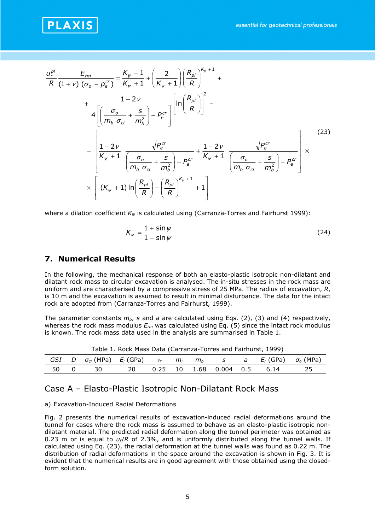

$$
\frac{u_r^{pl}}{R}\frac{E_m}{(1+v)(\sigma_o - p_e^{cr})} = \frac{K_w - 1}{K_w + 1} + \left(\frac{2}{K_w + 1}\right)\left(\frac{R_{pl}}{R}\right)^{K_w + 1} + \frac{1 - 2v}{4\left[\left(\frac{\sigma_o}{m_b \sigma_{ci}} + \frac{S}{m_b^2}\right) - p_e^{cr}\right]} \left[\ln\left(\frac{R_{pl}}{R}\right)\right]^2 - \left[\frac{1 - 2v}{K_w + 1} \frac{\sqrt{P_e^{cr}}}{\left(\frac{\sigma_o}{m_b \sigma_{ci}} + \frac{S}{m_b^2}\right) - P_e^{cr}} + \frac{1 - 2v}{K_w + 1} \frac{\sqrt{P_e^{cr}}}{\left(\frac{\sigma_o}{m_b \sigma_{ci}} + \frac{S}{m_b^2}\right) - P_e^{cr}}\right] \times \left[(K_w + 1)\ln\left(\frac{R_{pl}}{R}\right) - \left(\frac{R_{pl}}{R}\right)^{K_w + 1} + 1\right]
$$
\n(23)

where a dilation coefficient *Kψ* is calculated using (Carranza-Torres and Fairhurst 1999):

$$
K_{\psi} = \frac{1 + \sin \psi}{1 - \sin \psi} \tag{24}
$$

#### **7. Numerical Results**

In the following, the mechanical response of both an elasto-plastic isotropic non-dilatant and dilatant rock mass to circular excavation is analysed. The in-situ stresses in the rock mass are uniform and are characterised by a compressive stress of 25 MPa. The radius of excavation, *R*, is 10 m and the excavation is assumed to result in minimal disturbance. The data for the intact rock are adopted from (Carranza-Torres and Fairhurst, 1999).

The parameter constants *mb*, *s* and *a* are calculated using Eqs. (2), (3) and (4) respectively, whereas the rock mass modulus *Erm* was calculated using Eq. (5) since the intact rock modulus is known. The rock mass data used in the analysis are summarised in Table 1.

|  |  |                                                     |  |  |  |  |  |  | GSI D $\sigma_{ci}$ (MPa) $E_i$ (GPa) $v_r$ $m_i$ $m_b$ s a $E_r$ (GPa) $\sigma_o$ (MPa) |
|--|--|-----------------------------------------------------|--|--|--|--|--|--|------------------------------------------------------------------------------------------|
|  |  | 50  0  30  20  0.25  10  1.68  0.004  0.5  6.14  25 |  |  |  |  |  |  |                                                                                          |

Table 1. Rock Mass Data (Carranza-Torres and Fairhurst, 1999)

#### Case A – Elasto-Plastic Isotropic Non-Dilatant Rock Mass

#### a) Excavation-Induced Radial Deformations

Fig. 2 presents the numerical results of excavation-induced radial deformations around the tunnel for cases where the rock mass is assumed to behave as an elasto-plastic isotropic nondilatant material. The predicted radial deformation along the tunnel perimeter was obtained as 0.23 m or is equal to *ur*/*R* of 2.3%, and is uniformly distributed along the tunnel walls. If calculated using Eq. (23), the radial deformation at the tunnel walls was found as 0.22 m. The distribution of radial deformations in the space around the excavation is shown in Fig. 3. It is evident that the numerical results are in good agreement with those obtained using the closedform solution.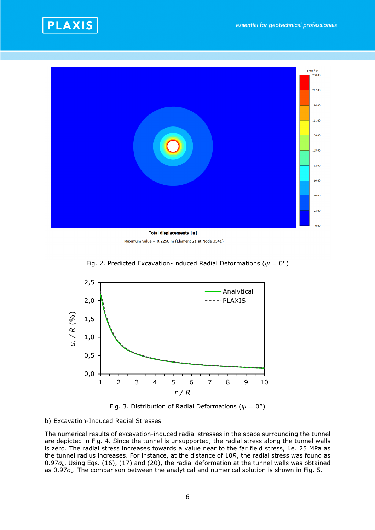



Fig. 2. Predicted Excavation-Induced Radial Deformations (*ψ* = 0°)





#### b) Excavation-Induced Radial Stresses

The numerical results of excavation-induced radial stresses in the space surrounding the tunnel are depicted in Fig. 4. Since the tunnel is unsupported, the radial stress along the tunnel walls is zero. The radial stress increases towards a value near to the far field stress, i.e. 25 MPa as the tunnel radius increases. For instance, at the distance of 10*R*, the radial stress was found as 0.97*σo*. Using Eqs. (16), (17) and (20), the radial deformation at the tunnel walls was obtained as 0.97*σo.* The comparison between the analytical and numerical solution is shown in Fig. 5.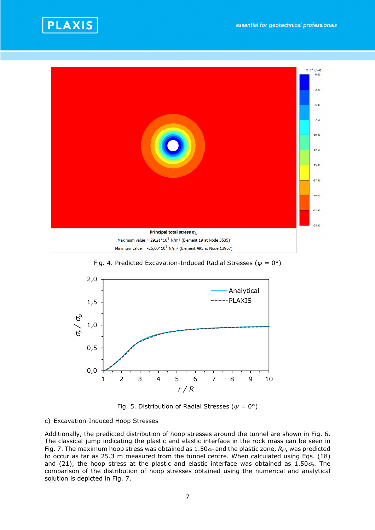



Fig. 4. Predicted Excavation-Induced Radial Stresses (*ψ* = 0°)



Fig. 5. Distribution of Radial Stresses (*ψ* = 0°)

#### c) Excavation-Induced Hoop Stresses

Additionally, the predicted distribution of hoop stresses around the tunnel are shown in Fig. 6. The classical jump indicating the plastic and elastic interface in the rock mass can be seen in Fig. 7. The maximum hoop stress was obtained as 1.50<sup>σ</sup>*o* and the plastic zone, *Rpl*, was predicted to occur as far as 25.3 m measured from the tunnel centre. When calculated using Eqs. (18) and (21), the hoop stress at the plastic and elastic interface was obtained as 1.50<sup>σ</sup>*o*. The comparison of the distribution of hoop stresses obtained using the numerical and analytical solution is depicted in Fig. 7.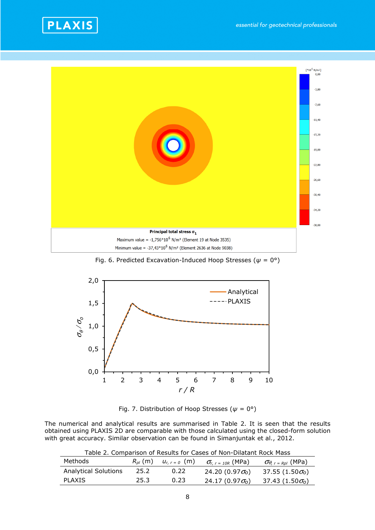



Fig. 6. Predicted Excavation-Induced Hoop Stresses (*ψ* = 0°)



Fig. 7. Distribution of Hoop Stresses (*ψ* = 0°)

The numerical and analytical results are summarised in Table 2. It is seen that the results obtained using PLAXIS 2D are comparable with those calculated using the closed-form solution with great accuracy. Similar observation can be found in Simanjuntak et al., 2012.

Table 2. Comparison of Results for Cases of Non-Dilatant Rock Mass

| Methods                     | $R_{\textit{nl}}$ (m) | $u_{r, r=0}$ (m) | $\sigma_{r, r}$ = 10R (MPa)         | $\sigma_{\theta, r = Rpl}$ (MPa)    |
|-----------------------------|-----------------------|------------------|-------------------------------------|-------------------------------------|
| <b>Analytical Solutions</b> | 25.2                  | 0.22             | 24.20 $(0.97\sigma_0)$              | 37.55 (1.50 $\sigma$ <sub>o</sub> ) |
| <b>PLAXIS</b>               | 25.3                  | 0.23             | 24.17 (0.97 $\sigma$ <sub>0</sub> ) | 37.43 (1.50 $\sigma$ <sub>0</sub> ) |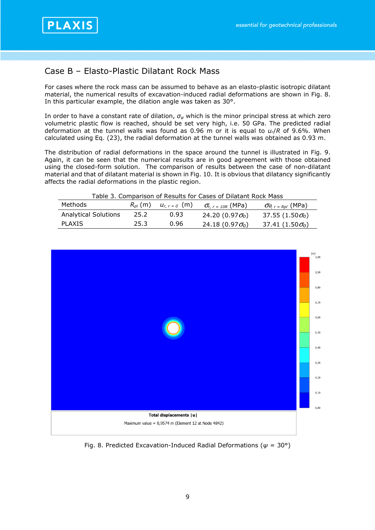

# Case B – Elasto-Plastic Dilatant Rock Mass

For cases where the rock mass can be assumed to behave as an elasto-plastic isotropic dilatant material, the numerical results of excavation-induced radial deformations are shown in Fig. 8. In this particular example, the dilation angle was taken as 30°.

In order to have a constant rate of dilation, *σψ* which is the minor principal stress at which zero volumetric plastic flow is reached, should be set very high, i.e. 50 GPa. The predicted radial deformation at the tunnel walls was found as 0.96 m or it is equal to *ur*/*R* of 9.6%. When calculated using Eq. (23), the radial deformation at the tunnel walls was obtained as 0.93 m.

The distribution of radial deformations in the space around the tunnel is illustrated in Fig. 9. Again, it can be seen that the numerical results are in good agreement with those obtained using the closed-form solution. The comparison of results between the case of non-dilatant material and that of dilatant material is shown in Fig. 10. It is obvious that dilatancy significantly affects the radial deformations in the plastic region.

| Table 3. Comparison of Results for Cases of Dilatant Rock Mass |              |                  |                                     |                                       |  |  |  |
|----------------------------------------------------------------|--------------|------------------|-------------------------------------|---------------------------------------|--|--|--|
| Methods                                                        | $R_{nl}$ (m) | $U_{r, r=0}$ (m) | $\sigma_{r, r=10R}$ (MPa)           | $\sigma_{\theta, r}$ = $_{Rpl}$ (MPa) |  |  |  |
| <b>Analytical Solutions</b>                                    | 25.2         | 0.93             | 24.20 (0.97 $\sigma_0$ )            | 37.55 (1.50 $\sigma_0$ )              |  |  |  |
| PI AXTS                                                        | 25.3         | 0.96             | 24.18 (0.97 $\sigma$ <sub>o</sub> ) | 37.41 (1.50 $\sigma$ <sub>o</sub> )   |  |  |  |



Fig. 8. Predicted Excavation-Induced Radial Deformations (*ψ* = 30°)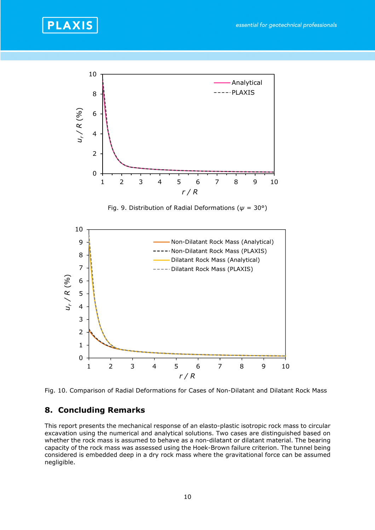



Fig. 9. Distribution of Radial Deformations (*ψ* = 30°)



Fig. 10. Comparison of Radial Deformations for Cases of Non-Dilatant and Dilatant Rock Mass

### **8. Concluding Remarks**

This report presents the mechanical response of an elasto-plastic isotropic rock mass to circular excavation using the numerical and analytical solutions. Two cases are distinguished based on whether the rock mass is assumed to behave as a non-dilatant or dilatant material. The bearing capacity of the rock mass was assessed using the Hoek-Brown failure criterion. The tunnel being considered is embedded deep in a dry rock mass where the gravitational force can be assumed negligible.